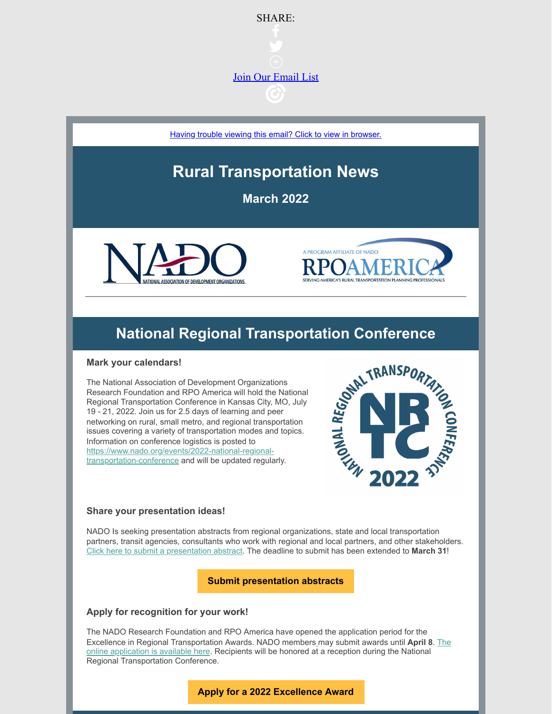

[Having trouble viewing this email? Click to view in browser.](https://campaignlp.constantcontact.com/em/1011169585502/929706a6-607a-4303-8910-ce44254c7b71)

# **Rural Transportation News**

**March 2022**





#### **Mark your calendars!**

**National Regional Transportation Conference**<br> **rour calendars!**<br>
Is in Foundation of Development Organizations<br>
th Foundation and RPO America will hold the National<br>
Il Transportation Conference in Kansas City, MO, July<br> The National Association of Development Organizations Research Foundation and RPO America will hold the National Regional Transportation Conference in Kansas City, MO, July 19 - 21, 2022. Join us for 2.5 days of learning and peer networking on rural, small metro, and regional transportation issues covering a variety of transportation modes and topics. Information on conference logistics is posted to [https://www.nado.org/events/2022-national-regional](https://www.nado.org/events/2022-national-regional-transportation-conference/)transportation-conference and will be updated regularly.



#### **Share your presentation ideas!**

NADO Is seeking presentation abstracts from regional organizations, state and local transportation partners, transit agencies, consultants who work with regional and local partners, and other stakeholders. [Click here to submit a presentation abstract](https://www.surveymonkey.com/r/RPO2022). The deadline to submit has been extended to **March 31**!

**[Submit presentation abstracts](https://www.surveymonkey.com/r/RPO2022)**

#### **Apply for recognition for your work!**

The NADO Research Foundation and RPO America have opened the application period for the Excellence in Regional Transportation Awards. NADO member[s](https://usdot.zoomgov.com/webinar/register/WN_qscQ6XPWRRiL0vNBTBogwg) may submit awards until **April 8**. The [online application is available here. Recipients will be honored at a reception during the National](https://www.nado.org/apply-now-for-nados-2022-excellence-in-regional-transportation-awards/) Regional Transportation Conference.

### **[Apply for a 2022 Excellence Award](https://www.nado.org/apply-now-for-nados-2022-excellence-in-regional-transportation-awards/)**